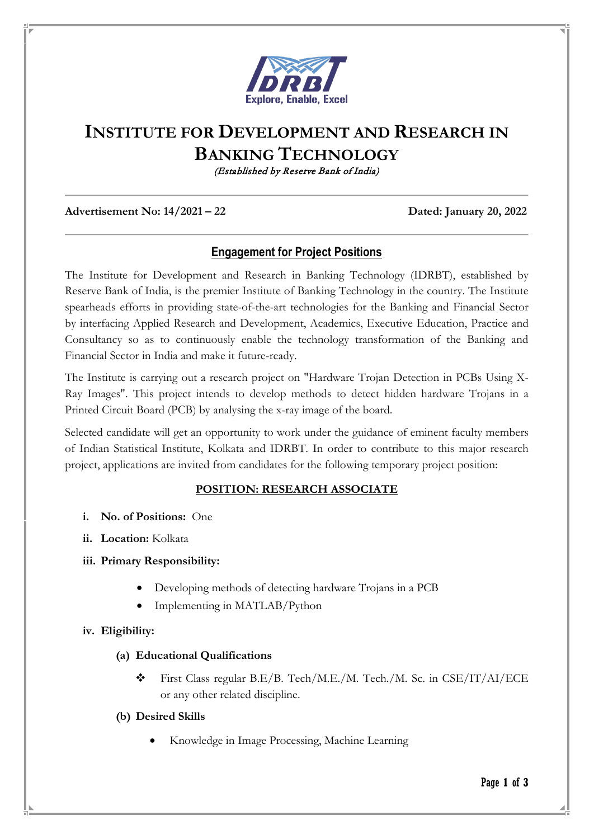

# **INSTITUTE FOR DEVELOPMENT AND RESEARCH IN BANKING TECHNOLOGY**

(Established by Reserve Bank of India)

#### **Advertisement No: 14/2021 – 22 Dated: January 20, 2022**

## **Engagement for Project Positions**

The Institute for Development and Research in Banking Technology (IDRBT), established by Reserve Bank of India, is the premier Institute of Banking Technology in the country. The Institute spearheads efforts in providing state-of-the-art technologies for the Banking and Financial Sector by interfacing Applied Research and Development, Academics, Executive Education, Practice and Consultancy so as to continuously enable the technology transformation of the Banking and Financial Sector in India and make it future-ready.

The Institute is carrying out a research project on "Hardware Trojan Detection in PCBs Using X-Ray Images". This project intends to develop methods to detect hidden hardware Trojans in a Printed Circuit Board (PCB) by analysing the x-ray image of the board.

Selected candidate will get an opportunity to work under the guidance of eminent faculty members of Indian Statistical Institute, Kolkata and IDRBT. In order to contribute to this major research project, applications are invited from candidates for the following temporary project position:

### **POSITION: RESEARCH ASSOCIATE**

- **i. No. of Positions:** One
- **ii. Location:** Kolkata

### **iii. Primary Responsibility:**

- Developing methods of detecting hardware Trojans in a PCB
- Implementing in MATLAB/Python

### **iv. Eligibility:**

### **(a) Educational Qualifications**

 First Class regular B.E/B. Tech/M.E./M. Tech./M. Sc. in CSE/IT/AI/ECE or any other related discipline.

#### **(b) Desired Skills**

• Knowledge in Image Processing, Machine Learning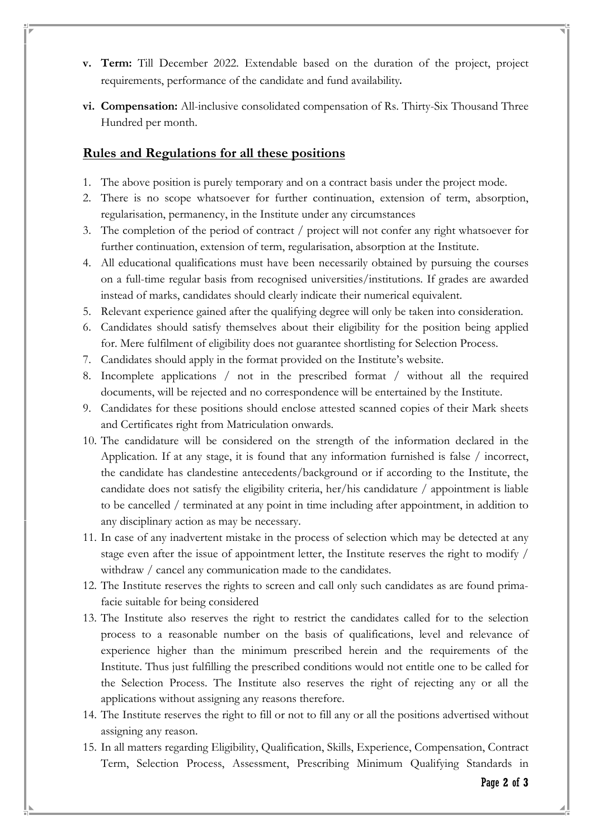- **v. Term:** Till December 2022. Extendable based on the duration of the project, project requirements, performance of the candidate and fund availability.
- **vi. Compensation:** All-inclusive consolidated compensation of Rs. Thirty-Six Thousand Three Hundred per month.

### **Rules and Regulations for all these positions**

- 1. The above position is purely temporary and on a contract basis under the project mode.
- 2. There is no scope whatsoever for further continuation, extension of term, absorption, regularisation, permanency, in the Institute under any circumstances
- 3. The completion of the period of contract / project will not confer any right whatsoever for further continuation, extension of term, regularisation, absorption at the Institute.
- 4. All educational qualifications must have been necessarily obtained by pursuing the courses on a full-time regular basis from recognised universities/institutions. If grades are awarded instead of marks, candidates should clearly indicate their numerical equivalent.
- 5. Relevant experience gained after the qualifying degree will only be taken into consideration.
- 6. Candidates should satisfy themselves about their eligibility for the position being applied for. Mere fulfilment of eligibility does not guarantee shortlisting for Selection Process.
- 7. Candidates should apply in the format provided on the Institute's website.
- 8. Incomplete applications / not in the prescribed format / without all the required documents, will be rejected and no correspondence will be entertained by the Institute.
- 9. Candidates for these positions should enclose attested scanned copies of their Mark sheets and Certificates right from Matriculation onwards.
- 10. The candidature will be considered on the strength of the information declared in the Application. If at any stage, it is found that any information furnished is false / incorrect, the candidate has clandestine antecedents/background or if according to the Institute, the candidate does not satisfy the eligibility criteria, her/his candidature / appointment is liable to be cancelled / terminated at any point in time including after appointment, in addition to any disciplinary action as may be necessary.
- 11. In case of any inadvertent mistake in the process of selection which may be detected at any stage even after the issue of appointment letter, the Institute reserves the right to modify / withdraw / cancel any communication made to the candidates.
- 12. The Institute reserves the rights to screen and call only such candidates as are found primafacie suitable for being considered
- 13. The Institute also reserves the right to restrict the candidates called for to the selection process to a reasonable number on the basis of qualifications, level and relevance of experience higher than the minimum prescribed herein and the requirements of the Institute. Thus just fulfilling the prescribed conditions would not entitle one to be called for the Selection Process. The Institute also reserves the right of rejecting any or all the applications without assigning any reasons therefore.
- 14. The Institute reserves the right to fill or not to fill any or all the positions advertised without assigning any reason.
- 15. In all matters regarding Eligibility, Qualification, Skills, Experience, Compensation, Contract Term, Selection Process, Assessment, Prescribing Minimum Qualifying Standards in